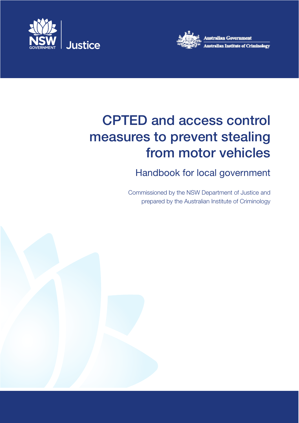



# CPTED and access control measures to prevent stealing from motor vehicles

## Handbook for local government

Commissioned by the NSW Department of Justice and prepared by the Australian Institute of Criminology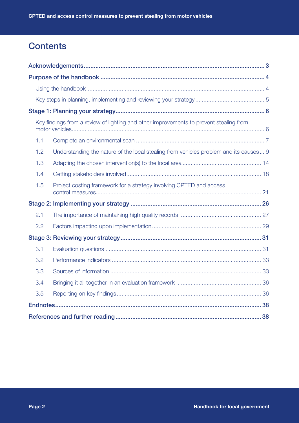## **Contents**

|     | Key findings from a review of lighting and other improvements to prevent stealing from |
|-----|----------------------------------------------------------------------------------------|
| 1.1 |                                                                                        |
| 1.2 | Understanding the nature of the local stealing from vehicles problem and its causes 9  |
| 1.3 |                                                                                        |
| 1.4 |                                                                                        |
| 1.5 | Project costing framework for a strategy involving CPTED and access                    |
|     |                                                                                        |
| 2.1 |                                                                                        |
| 2.2 |                                                                                        |
|     |                                                                                        |
| 3.1 |                                                                                        |
| 3.2 |                                                                                        |
| 3.3 |                                                                                        |
| 3.4 |                                                                                        |
| 3.5 |                                                                                        |
|     |                                                                                        |
|     |                                                                                        |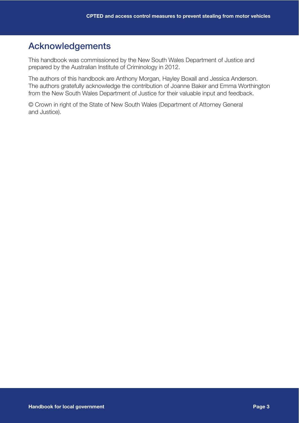## Acknowledgements

This handbook was commissioned by the New South Wales Department of Justice and prepared by the Australian Institute of Criminology in 2012.

The authors of this handbook are Anthony Morgan, Hayley Boxall and Jessica Anderson. The authors gratefully acknowledge the contribution of Joanne Baker and Emma Worthington from the New South Wales Department of Justice for their valuable input and feedback.

© Crown in right of the State of New South Wales (Department of Attorney General and Justice).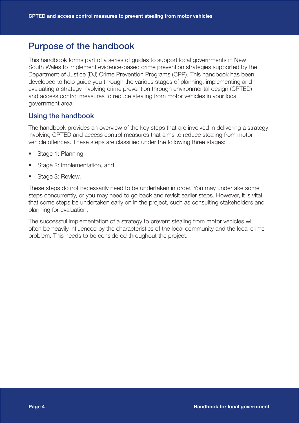## Purpose of the handbook

This handbook forms part of a series of guides to support local governments in New South Wales to implement evidence-based crime prevention strategies supported by the Department of Justice (DJ) Crime Prevention Programs (CPP). This handbook has been developed to help guide you through the various stages of planning, implementing and evaluating a strategy involving crime prevention through environmental design (CPTED) and access control measures to reduce stealing from motor vehicles in your local government area.

#### Using the handbook

The handbook provides an overview of the key steps that are involved in delivering a strategy involving CPTED and access control measures that aims to reduce stealing from motor vehicle offences. These steps are classified under the following three stages:

- Stage 1: Planning
- Stage 2: Implementation, and
- Stage 3: Review.

These steps do not necessarily need to be undertaken in order. You may undertake some steps concurrently, or you may need to go back and revisit earlier steps. However, it is vital that some steps be undertaken early on in the project, such as consulting stakeholders and planning for evaluation.

The successful implementation of a strategy to prevent stealing from motor vehicles will often be heavily influenced by the characteristics of the local community and the local crime problem. This needs to be considered throughout the project.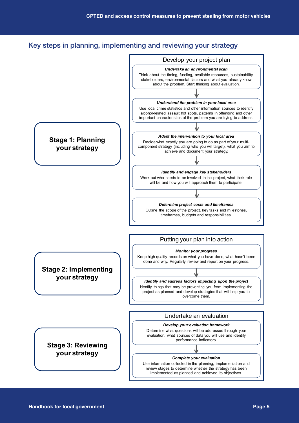## Key steps in planning, implementing and reviewing your strategy

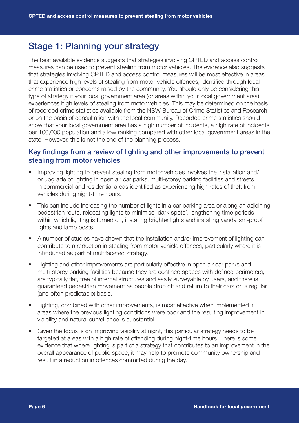## Stage 1: Planning your strategy

The best available evidence suggests that strategies involving CPTED and access control measures can be used to prevent stealing from motor vehicles. The evidence also suggests that strategies involving CPTED and access control measures will be most effective in areas that experience high levels of stealing from motor vehicle offences, identified through local crime statistics or concerns raised by the community. You should only be considering this type of strategy if your local government area (or areas within your local government area) experiences high levels of stealing from motor vehicles. This may be determined on the basis of recorded crime statistics available from the NSW Bureau of Crime Statistics and Research or on the basis of consultation with the local community. Recorded crime statistics should show that your local government area has a high number of incidents, a high rate of incidents per 100,000 population and a low ranking compared with other local government areas in the state. However, this is not the end of the planning process.

#### Key findings from a review of lighting and other improvements to prevent stealing from motor vehicles

- Improving lighting to prevent stealing from motor vehicles involves the installation and/ or upgrade of lighting in open air car parks, multi-storey parking facilities and streets in commercial and residential areas identified as experiencing high rates of theft from vehicles during night-time hours.
- This can include increasing the number of lights in a car parking area or along an adjoining pedestrian route, relocating lights to minimise 'dark spots', lengthening time periods within which lighting is turned on, installing brighter lights and installing vandalism-proof lights and lamp posts.
- A number of studies have shown that the installation and/or improvement of lighting can contribute to a reduction in stealing from motor vehicle offences, particularly where it is introduced as part of multifaceted strategy.
- Lighting and other improvements are particularly effective in open air car parks and multi-storey parking facilities because they are confined spaces with defined perimeters, are typically flat, free of internal structures and easily surveyable by users, and there is guaranteed pedestrian movement as people drop off and return to their cars on a regular (and often predictable) basis.
- Lighting, combined with other improvements, is most effective when implemented in areas where the previous lighting conditions were poor and the resulting improvement in visibility and natural surveillance is substantial.
- Given the focus is on improving visibility at night, this particular strategy needs to be targeted at areas with a high rate of offending during night-time hours. There is some evidence that where lighting is part of a strategy that contributes to an improvement in the overall appearance of public space, it may help to promote community ownership and result in a reduction in offences committed during the day.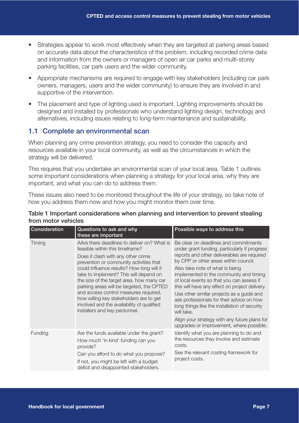- Strategies appear to work most effectively when they are targeted at parking areas based on accurate data about the characteristics of the problem, including recorded crime data and information from the owners or managers of open air car parks and multi-storey parking facilities, car park users and the wider community.
- Appropriate mechanisms are required to engage with key stakeholders (including car park owners, managers, users and the wider community) to ensure they are involved in and supportive of the intervention.
- The placement and type of lighting used is important. Lighting improvements should be designed and installed by professionals who understand lighting design, technology and alternatives, including issues relating to long-term maintenance and sustainability.

#### 1.1 Complete an environmental scan

When planning any crime prevention strategy, you need to consider the capacity and resources available in your local community, as well as the circumstances in which the strategy will be delivered.

This requires that you undertake an environmental scan of your local area. Table 1 outlines some important considerations when planning a strategy for your local area, why they are important, and what you can do to address them.

These issues also need to be monitored throughout the life of your strategy, so take note of how you address them now and how you might monitor them over time.

| Consideration | Questions to ask and why<br>these are important                                                                                                                                                                                                                                                                                                                                                                                                                                                                     | Possible ways to address this                                                                                                                                                                                                                                                                                                                                                                                                                                                                                                                                                                                     |
|---------------|---------------------------------------------------------------------------------------------------------------------------------------------------------------------------------------------------------------------------------------------------------------------------------------------------------------------------------------------------------------------------------------------------------------------------------------------------------------------------------------------------------------------|-------------------------------------------------------------------------------------------------------------------------------------------------------------------------------------------------------------------------------------------------------------------------------------------------------------------------------------------------------------------------------------------------------------------------------------------------------------------------------------------------------------------------------------------------------------------------------------------------------------------|
| Timing        | AAre there deadlines to deliver on? What is<br>feasible within this timeframe?<br>Does it clash with any other crime<br>prevention or community activities that<br>could influence results? How long will it<br>take to implement? This will depend on<br>the size of the target area, how many car<br>parking areas will be targeted, the CPTED<br>and access control measures required,<br>how willing key stakeholders are to get<br>involved and the availability of qualified<br>installers and key personnel. | Be clear on deadlines and commitments<br>under grant funding, particularly if progress<br>reports and other deliverables are required<br>by CPP or other areas within council.<br>Also take note of what is being<br>implemented in the community and timing<br>of local events so that you can assess if<br>this will have any effect on project delivery.<br>Use other similar projects as a guide and<br>ask professionals for their advice on how<br>long things like the installation of security<br>will take.<br>Align your strategy with any future plans for<br>upgrades or improvement, where possible. |
| Funding       | Are the funds available under the grant?<br>How much 'in kind' funding can you<br>provide?<br>Can you afford to do what you propose?<br>If not, you might be left with a budget<br>deficit and disappointed stakeholders.                                                                                                                                                                                                                                                                                           | Identify what you are planning to do and<br>the resources they involve and estimate<br>costs.<br>See the relevant costing framework for<br>project costs.                                                                                                                                                                                                                                                                                                                                                                                                                                                         |

#### Table 1 Important considerations when planning and intervention to prevent stealing from motor vehicles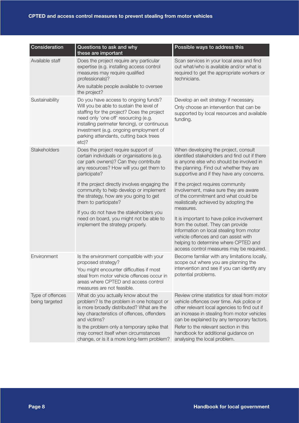| Consideration                      | Questions to ask and why<br>these are important                                                                                                                                                                                                                                                                                  | Possible ways to address this                                                                                                                                                                                                                                                                                                                                                                                                       |
|------------------------------------|----------------------------------------------------------------------------------------------------------------------------------------------------------------------------------------------------------------------------------------------------------------------------------------------------------------------------------|-------------------------------------------------------------------------------------------------------------------------------------------------------------------------------------------------------------------------------------------------------------------------------------------------------------------------------------------------------------------------------------------------------------------------------------|
| Available staff                    | Does the project require any particular<br>expertise (e.g. installing access control<br>measures may require qualified<br>professionals)?<br>Are suitable people available to oversee<br>the project?                                                                                                                            | Scan services in your local area and find<br>out what/who is available and/or what is<br>required to get the appropriate workers or<br>technicians.                                                                                                                                                                                                                                                                                 |
| Sustainability                     | Do you have access to ongoing funds?<br>Will you be able to sustain the level of<br>staffing for the project? Does the project<br>need only 'one off' resourcing (e.g.<br>installing perimeter fencing), or continuous<br>investment (e.g. ongoing employment of<br>parking attendants, cutting back trees<br>$etc$ ?            | Develop an exit strategy if necessary.<br>Only choose an intervention that can be<br>supported by local resources and available<br>funding.                                                                                                                                                                                                                                                                                         |
| Stakeholders                       | Does the project require support of<br>certain individuals or organisations (e.g.<br>car park owners)? Can they contribute<br>any resources? How will you get them to<br>participate?                                                                                                                                            | When developing the project, consult<br>identified stakeholders and find out if there<br>is anyone else who should be involved in<br>the planning. Find out whether they are<br>supportive and if they have any concerns.                                                                                                                                                                                                           |
|                                    | If the project directly involves engaging the<br>community to help develop or implement<br>the strategy, how are you going to get<br>them to participate?<br>If you do not have the stakeholders you<br>need on board, you might not be able to<br>implement the strategy properly.                                              | If the project requires community<br>involvement, make sure they are aware<br>of the commitment and what could be<br>realistically achieved by adopting the<br>measures.<br>It is important to have police involvement<br>from the outset. They can provide<br>information on local stealing from motor<br>vehicle offences and can assist with<br>helping to determine where CPTED and<br>access control measures may be required. |
| Environment                        | Is the environment compatible with your<br>proposed strategy?<br>You might encounter difficulties if most<br>steal from motor vehicle offences occur in<br>areas where CPTED and access control<br>measures are not feasible.                                                                                                    | Become familiar with any limitations locally,<br>scope out where you are planning the<br>intervention and see if you can identify any<br>potential problems.                                                                                                                                                                                                                                                                        |
| Type of offences<br>being targeted | What do you actually know about the<br>problem? Is the problem in one hotspot or<br>is more broadly distributed? What are the<br>key characteristics of offences, offenders<br>and victims?<br>Is the problem only a temporary spike that<br>may correct itself when circumstances<br>change, or is it a more long-term problem? | Review crime statistics for steal from motor<br>vehicle offences over time. Ask police or<br>other relevant local agencies to find out if<br>an increase in stealing from motor vehicles<br>can be explained by any temporary factors.<br>Refer to the relevant section in this<br>handbook for additional guidance on<br>analysing the local problem.                                                                              |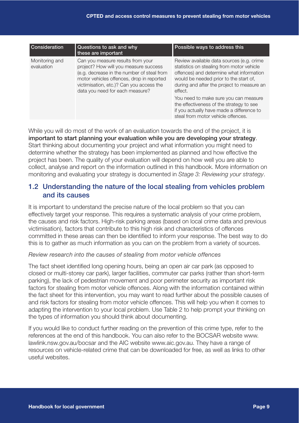| <b>Consideration</b>         | Questions to ask and why<br>these are important                                                                                                                                                                                                      | Possible ways to address this                                                                                                                                                                                                         |
|------------------------------|------------------------------------------------------------------------------------------------------------------------------------------------------------------------------------------------------------------------------------------------------|---------------------------------------------------------------------------------------------------------------------------------------------------------------------------------------------------------------------------------------|
| Monitoring and<br>evaluation | Can you measure results from your<br>project? How will you measure success<br>(e.g. decrease in the number of steal from<br>motor vehicles offences, drop in reported<br>victimisation, etc.)? Can you access the<br>data you need for each measure? | Review available data sources (e.g. crime<br>statistics on stealing from motor vehicle<br>offences) and determine what information<br>would be needed prior to the start of,<br>during and after the project to measure an<br>effect. |
|                              |                                                                                                                                                                                                                                                      | You need to make sure you can measure<br>the effectiveness of the strategy to see<br>if you actually have made a difference to<br>steal from motor vehicle offences.                                                                  |

While you will do most of the work of an evaluation towards the end of the project, it is important to start planning your evaluation while you are developing your strategy. Start thinking about documenting your project and what information you might need to determine whether the strategy has been implemented as planned and how effective the project has been. The quality of your evaluation will depend on how well you are able to collect, analyse and report on the information outlined in this handbook. More information on monitoring and evaluating your strategy is documented in *Stage 3: Reviewing your strategy*.

### 1.2 Understanding the nature of the local stealing from vehicles problem and its causes

It is important to understand the precise nature of the local problem so that you can effectively target your response. This requires a systematic analysis of your crime problem, the causes and risk factors. High-risk parking areas (based on local crime data and previous victimisation), factors that contribute to this high risk and characteristics of offences committed in these areas can then be identified to inform your response. The best way to do this is to gather as much information as you can on the problem from a variety of sources.

#### *Review research into the causes of stealing from motor vehicle offences*

The fact sheet identified long opening hours, being an open air car park (as opposed to closed or multi-storey car park), larger facilities, commuter car parks (rather than short-term parking), the lack of pedestrian movement and poor perimeter security as important risk factors for stealing from motor vehicle offences. Along with the information contained within the fact sheet for this intervention, you may want to read further about the possible causes of and risk factors for stealing from motor vehicle offences. This will help you when it comes to adapting the intervention to your local problem. Use Table 2 to help prompt your thinking on the types of information you should think about documenting.

If you would like to conduct further reading on the prevention of this crime type, refer to the references at the end of this handbook. You can also refer to the BOCSAR website www. lawlink.nsw.gov.au/bocsar and the AIC website www.aic.gov.au. They have a range of resources on vehicle-related crime that can be downloaded for free, as well as links to other useful websites.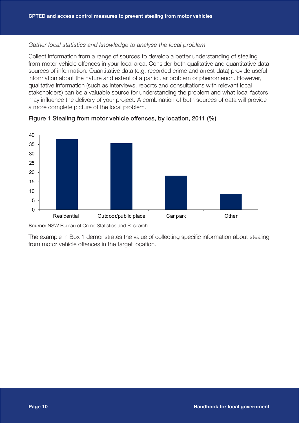#### *Gather local statistics and knowledge to analyse the local problem*

Collect information from a range of sources to develop a better understanding of stealing from motor vehicle offences in your local area. Consider both qualitative and quantitative data sources of information. Quantitative data (e.g. recorded crime and arrest data) provide useful information about the nature and extent of a particular problem or phenomenon. However, qualitative information (such as interviews, reports and consultations with relevant local stakeholders) can be a valuable source for understanding the problem and what local factors may influence the delivery of your project. A combination of both sources of data will provide a more complete picture of the local problem.





Source: NSW Bureau of Crime Statistics and Research

The example in Box 1 demonstrates the value of collecting specific information about stealing from motor vehicle offences in the target location.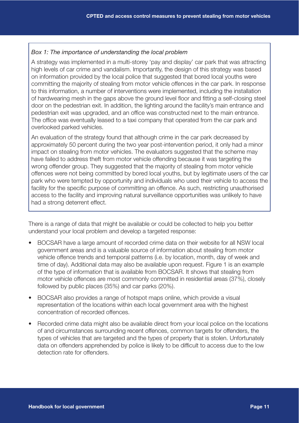#### *Box 1: The importance of understanding the local problem*

A strategy was implemented in a multi-storey 'pay and display' car park that was attracting high levels of car crime and vandalism. Importantly, the design of this strategy was based on information provided by the local police that suggested that bored local youths were committing the majority of stealing from motor vehicle offences in the car park. In response to this information, a number of interventions were implemented, including the installation of hardwearing mesh in the gaps above the ground level floor and fitting a self-closing steel door on the pedestrian exit. In addition, the lighting around the facility's main entrance and pedestrian exit was upgraded, and an office was constructed next to the main entrance. The office was eventually leased to a taxi company that operated from the car park and overlooked parked vehicles.

An evaluation of the strategy found that although crime in the car park decreased by approximately 50 percent during the two year post-intervention period, it only had a minor impact on stealing from motor vehicles. The evaluators suggested that the scheme may have failed to address theft from motor vehicle offending because it was targeting the wrong offender group. They suggested that the majority of stealing from motor vehicle offences were not being committed by bored local youths, but by legitimate users of the car park who were tempted by opportunity and individuals who used their vehicle to access the facility for the specific purpose of committing an offence. As such, restricting unauthorised access to the facility and improving natural surveillance opportunities was unlikely to have had a strong deterrent effect.

There is a range of data that might be available or could be collected to help you better understand your local problem and develop a targeted response:

- BOCSAR have a large amount of recorded crime data on their website for all NSW local government areas and is a valuable source of information about stealing from motor vehicle offence trends and temporal patterns (i.e. by location, month, day of week and time of day). Additional data may also be available upon request. Figure 1 is an example of the type of information that is available from BOCSAR. It shows that stealing from motor vehicle offences are most commonly committed in residential areas (37%), closely followed by public places (35%) and car parks (20%).
- BOCSAR also provides a range of hotspot maps online, which provide a visual representation of the locations within each local government area with the highest concentration of recorded offences.
- Recorded crime data might also be available direct from your local police on the locations of and circumstances surrounding recent offences, common targets for offenders, the types of vehicles that are targeted and the types of property that is stolen. Unfortunately data on offenders apprehended by police is likely to be difficult to access due to the low detection rate for offenders.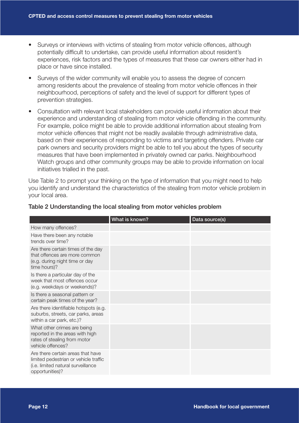- Surveys or interviews with victims of stealing from motor vehicle offences, although potentially difficult to undertake, can provide useful information about resident's experiences, risk factors and the types of measures that these car owners either had in place or have since installed.
- Surveys of the wider community will enable you to assess the degree of concern among residents about the prevalence of stealing from motor vehicle offences in their neighbourhood, perceptions of safety and the level of support for different types of prevention strategies.
- Consultation with relevant local stakeholders can provide useful information about their experience and understanding of stealing from motor vehicle offending in the community. For example, police might be able to provide additional information about stealing from motor vehicle offences that might not be readily available through administrative data, based on their experiences of responding to victims and targeting offenders. Private car park owners and security providers might be able to tell you about the types of security measures that have been implemented in privately owned car parks. Neighbourhood Watch groups and other community groups may be able to provide information on local initiatives trialled in the past.

Use Table 2 to prompt your thinking on the type of information that you might need to help you identify and understand the characteristics of the stealing from motor vehicle problem in your local area.

|                                                                                                                                     | What is known? | Data source(s) |
|-------------------------------------------------------------------------------------------------------------------------------------|----------------|----------------|
| How many offences?                                                                                                                  |                |                |
| Have there been any notable<br>trends over time?                                                                                    |                |                |
| Are there certain times of the day<br>that offences are more common<br>(e.g. during night time or day<br>time hours)?               |                |                |
| Is there a particular day of the<br>week that most offences occur<br>(e.g. weekdays or weekends)?                                   |                |                |
| Is there a seasonal pattern or<br>certain peak times of the year?                                                                   |                |                |
| Are there identifiable hotspots (e.g.<br>suburbs, streets, car parks, areas<br>within a car park, etc.)?                            |                |                |
| What other crimes are being<br>reported in the areas with high<br>rates of stealing from motor<br>vehicle offences?                 |                |                |
| Are there certain areas that have<br>limited pedestrian or vehicle traffic<br>(i.e. limited natural surveillance<br>opportunities)? |                |                |

#### Table 2 Understanding the local stealing from motor vehicles problem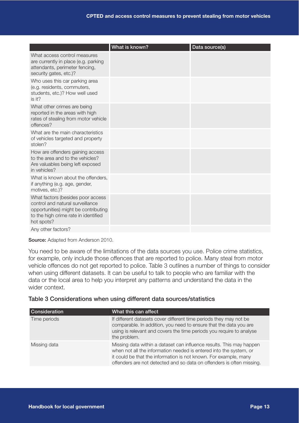|                                                                                                                                                                     | What is known? | Data source(s) |
|---------------------------------------------------------------------------------------------------------------------------------------------------------------------|----------------|----------------|
| What access control measures<br>are currently in place (e.g. parking<br>attendants, perimeter fencing,<br>security gates, etc.)?                                    |                |                |
| Who uses this car parking area<br>(e.g. residents, commuters,<br>students, etc.)? How well used<br>is it?                                                           |                |                |
| What other crimes are being<br>reported in the areas with high<br>rates of stealing from motor vehicle<br>offences?                                                 |                |                |
| What are the main characteristics<br>of vehicles targeted and property<br>stolen?                                                                                   |                |                |
| How are offenders gaining access<br>to the area and to the vehicles?<br>Are valuables being left exposed<br>in vehicles?                                            |                |                |
| What is known about the offenders,<br>if anything (e.g. age, gender,<br>motives, etc.)?                                                                             |                |                |
| What factors (besides poor access<br>control and natural surveillance<br>opportunities) might be contributing<br>to the high crime rate in identified<br>hot spots? |                |                |
| Any other factors?                                                                                                                                                  |                |                |

Source: Adapted from Anderson 2010.

You need to be aware of the limitations of the data sources you use. Police crime statistics, for example, only include those offences that are reported to police. Many steal from motor vehicle offences do not get reported to police. Table 3 outlines a number of things to consider when using different datasets. It can be useful to talk to people who are familiar with the data or the local area to help you interpret any patterns and understand the data in the wider context.

#### Table 3 Considerations when using different data sources/statistics

| <b>Consideration</b> | What this can affect                                                                                                                                                                                                                                                                    |
|----------------------|-----------------------------------------------------------------------------------------------------------------------------------------------------------------------------------------------------------------------------------------------------------------------------------------|
| Time periods         | If different datasets cover different time periods they may not be<br>comparable. In addition, you need to ensure that the data you are<br>using is relevant and covers the time periods you require to analyse<br>the problem.                                                         |
| Missing data         | Missing data within a dataset can influence results. This may happen<br>when not all the information needed is entered into the system, or<br>it could be that the information is not known. For example, many<br>offenders are not detected and so data on offenders is often missing. |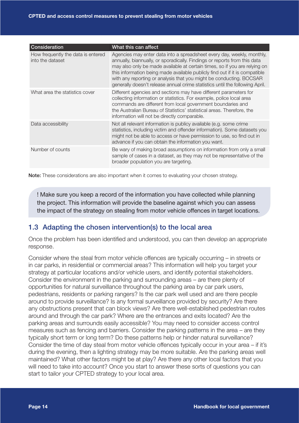| Consideration                                          | What this can affect                                                                                                                                                                                                                                                                                                                                                                                                                                                    |
|--------------------------------------------------------|-------------------------------------------------------------------------------------------------------------------------------------------------------------------------------------------------------------------------------------------------------------------------------------------------------------------------------------------------------------------------------------------------------------------------------------------------------------------------|
| How frequently the data is entered<br>into the dataset | Agencies may enter data into a spreadsheet every day, weekly, monthly,<br>annually, biannually, or sporadically. Findings or reports from this data<br>may also only be made available at certain times, so if you are relying on<br>this information being made available publicly find out if it is compatible<br>with any reporting or analysis that you might be conducting. BOCSAR<br>generally doesn't release annual crime statistics until the following April. |
| What area the statistics cover                         | Different agencies and sections may have different parameters for<br>collecting information or statistics. For example, police local area<br>commands are different from local government boundaries and<br>the Australian Bureau of Statistics' statistical areas. Therefore, the<br>information will not be directly comparable.                                                                                                                                      |
| Data accessibility                                     | Not all relevant information is publicy available (e.g. some crime<br>statistics, including victim and offender information). Some datasets you<br>might not be able to access or have permission to use, so find out in<br>advance if you can obtain the information you want.                                                                                                                                                                                         |
| Number of counts                                       | Be wary of making broad assumptions on information from only a small<br>sample of cases in a dataset, as they may not be representative of the<br>broader population you are targeting.                                                                                                                                                                                                                                                                                 |

Note: These considerations are also important when it comes to evaluating your chosen strategy.

! Make sure you keep a record of the information you have collected while planning the project. This information will provide the baseline against which you can assess the impact of the strategy on stealing from motor vehicle offences in target locations.

#### 1.3 Adapting the chosen intervention(s) to the local area

Once the problem has been identified and understood, you can then develop an appropriate response.

Consider where the steal from motor vehicle offences are typically occurring – in streets or in car parks, in residential or commercial areas? This information will help you target your strategy at particular locations and/or vehicle users, and identify potential stakeholders. Consider the environment in the parking and surrounding areas – are there plenty of opportunities for natural surveillance throughout the parking area by car park users, pedestrians, residents or parking rangers? Is the car park well used and are there people around to provide surveillance? Is any formal surveillance provided by security? Are there any obstructions present that can block views? Are there well-established pedestrian routes around and through the car park? Where are the entrances and exits located? Are the parking areas and surrounds easily accessible? You may need to consider access control measures such as fencing and barriers. Consider the parking patterns in the area – are they typically short term or long term? Do these patterns help or hinder natural surveillance? Consider the time of day steal from motor vehicle offences typically occur in your area – if it's during the evening, then a lighting strategy may be more suitable. Are the parking areas well maintained? What other factors might be at play? Are there any other local factors that you will need to take into account? Once you start to answer these sorts of questions you can start to tailor your CPTED strategy to your local area.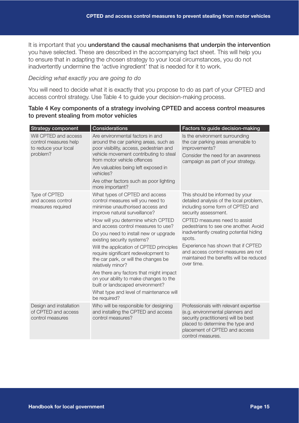It is important that you understand the causal mechanisms that underpin the intervention you have selected. These are described in the accompanying fact sheet. This will help you to ensure that in adapting the chosen strategy to your local circumstances, you do not inadvertently undermine the 'active ingredient' that is needed for it to work.

#### *Deciding what exactly you are going to do*

You will need to decide what it is exactly that you propose to do as part of your CPTED and access control strategy. Use Table 4 to guide your decision-making process.

| <b>Strategy component</b>                                                          | <b>Considerations</b>                                                                                                                                                                                                                                                                                                                                                                                                                                                                                                                                                                                                             | Factors to guide decision-making                                                                                                                                                                                                                                                                                                                                                                            |
|------------------------------------------------------------------------------------|-----------------------------------------------------------------------------------------------------------------------------------------------------------------------------------------------------------------------------------------------------------------------------------------------------------------------------------------------------------------------------------------------------------------------------------------------------------------------------------------------------------------------------------------------------------------------------------------------------------------------------------|-------------------------------------------------------------------------------------------------------------------------------------------------------------------------------------------------------------------------------------------------------------------------------------------------------------------------------------------------------------------------------------------------------------|
| Will CPTED and access<br>control measures help<br>to reduce your local<br>problem? | Are environmental factors in and<br>around the car parking areas, such as<br>poor visibility, access, pedestrian and<br>vehicle movement contributing to steal<br>from motor vehicle offences<br>Are valuables being left exposed in<br>vehicles?<br>Are other factors such as poor lighting<br>more important?                                                                                                                                                                                                                                                                                                                   | Is the environment surrounding<br>the car parking areas amenable to<br>improvements?<br>Consider the need for an awareness<br>campaign as part of your strategy.                                                                                                                                                                                                                                            |
| Type of CPTED<br>and access control<br>measures required                           | What types of CPTED and access<br>control measures will you need to<br>minimise unauthorised access and<br>improve natural surveillance?<br>How will you determine which CPTED<br>and access control measures to use?<br>Do you need to install new or upgrade<br>existing security systems?<br>Will the application of CPTED principles<br>require significant redevelopment to<br>the car park, or will the changes be<br>relatively minor?<br>Are there any factors that might impact<br>on your ability to make changes to the<br>built or landscaped environment?<br>What type and level of maintenance will<br>be required? | This should be informed by your<br>detailed analysis of the local problem,<br>including some form of CPTED and<br>security assessment.<br>CPTED measures need to assist<br>pedestrians to see one another. Avoid<br>inadvertently creating potential hiding<br>spots.<br>Experience has shown that if CPTED<br>and access control measures are not<br>maintained the benefits will be reduced<br>over time. |
| Design and installation<br>of CPTED and access<br>control measures                 | Who will be responsible for designing<br>and installing the CPTED and access<br>control measures?                                                                                                                                                                                                                                                                                                                                                                                                                                                                                                                                 | Professionals with relevant expertise<br>(e.g. environmental planners and<br>security practitioners) will be best<br>placed to determine the type and<br>placement of CPTED and access<br>control measures.                                                                                                                                                                                                 |

#### Table 4 Key components of a strategy involving CPTED and access control measures to prevent stealing from motor vehicles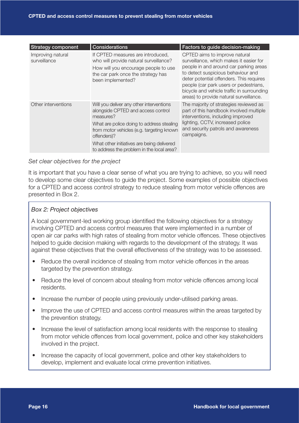| <b>Strategy component</b>         | Considerations                                                                                                                                                                                                                                                                                  | Factors to guide decision-making                                                                                                                                                                                                                                                                                                        |
|-----------------------------------|-------------------------------------------------------------------------------------------------------------------------------------------------------------------------------------------------------------------------------------------------------------------------------------------------|-----------------------------------------------------------------------------------------------------------------------------------------------------------------------------------------------------------------------------------------------------------------------------------------------------------------------------------------|
| Improving natural<br>surveillance | If CPTED measures are introduced,<br>who will provide natural surveillance?<br>How will you encourage people to use<br>the car park once the strategy has<br>been implemented?                                                                                                                  | CPTED aims to improve natural<br>surveillance, which makes it easier for<br>people in and around car parking areas<br>to detect suspicious behaviour and<br>deter potential offenders. This requires<br>people (car park users or pedestrians,<br>bicycle and vehicle traffic in surrounding<br>areas) to provide natural surveillance. |
| Other interventions               | Will you deliver any other interventions<br>alongside CPTED and access control<br>measures?<br>What are police doing to address stealing<br>from motor vehicles (e.g. targeting known<br>offenders)?<br>What other initiatives are being delivered<br>to address the problem in the local area? | The majority of strategies reviewed as<br>part of this handbook involved multiple<br>interventions, including improved<br>lighting, CCTV, increased police<br>and security patrols and awareness<br>campaigns.                                                                                                                          |

#### *Set clear objectives for the project*

It is important that you have a clear sense of what you are trying to achieve, so you will need to develop some clear objectives to guide the project. Some examples of possible objectives for a CPTED and access control strategy to reduce stealing from motor vehicle offences are presented in Box 2.

#### *Box 2: Project objectives*

A local government-led working group identified the following objectives for a strategy involving CPTED and access control measures that were implemented in a number of open air car parks with high rates of stealing from motor vehicle offences. These objectives helped to guide decision making with regards to the development of the strategy. It was against these objectives that the overall effectiveness of the strategy was to be assessed.

- Reduce the overall incidence of stealing from motor vehicle offences in the areas targeted by the prevention strategy.
- Reduce the level of concern about stealing from motor vehicle offences among local residents.
- Increase the number of people using previously under-utilised parking areas.
- Improve the use of CPTED and access control measures within the areas targeted by the prevention strategy.
- Increase the level of satisfaction among local residents with the response to stealing from motor vehicle offences from local government, police and other key stakeholders involved in the project.
- Increase the capacity of local government, police and other key stakeholders to develop, implement and evaluate local crime prevention initiatives.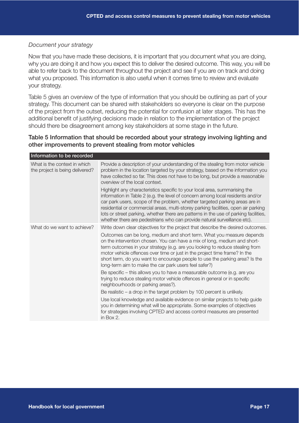#### *Document your strategy*

Now that you have made these decisions, it is important that you document what you are doing, why you are doing it and how you expect this to deliver the desired outcome. This way, you will be able to refer back to the document throughout the project and see if you are on track and doing what you proposed. This information is also useful when it comes time to review and evaluate your strategy.

Table 5 gives an overview of the type of information that you should be outlining as part of your strategy. This document can be shared with stakeholders so everyone is clear on the purpose of the project from the outset, reducing the potential for confusion at later stages. This has the additional benefit of justifying decisions made in relation to the implementation of the project should there be disagreement among key stakeholders at some stage in the future.

#### Table 5 Information that should be recorded about your strategy involving lighting and other improvements to prevent stealing from motor vehicles

| Information to be recorded                                      |                                                                                                                                                                                                                                                                                                                                                                                                                                                                                                       |
|-----------------------------------------------------------------|-------------------------------------------------------------------------------------------------------------------------------------------------------------------------------------------------------------------------------------------------------------------------------------------------------------------------------------------------------------------------------------------------------------------------------------------------------------------------------------------------------|
| What is the context in which<br>the project is being delivered? | Provide a description of your understanding of the stealing from motor vehicle<br>problem in the location targeted by your strategy, based on the information you<br>have collected so far. This does not have to be long, but provide a reasonable<br>overview of the local context.                                                                                                                                                                                                                 |
|                                                                 | Highlight any characteristics specific to your local area, summarising the<br>information in Table 2 (e.g. the level of concern among local residents and/or<br>car park users, scope of the problem, whether targeted parking areas are in<br>residential or commercial areas, multi-storey parking facilities, open air parking<br>lots or street parking, whether there are patterns in the use of parking facilities,<br>whether there are pedestrians who can provide natural surveillance etc). |
| What do we want to achieve?                                     | Write down clear objectives for the project that describe the desired outcomes.                                                                                                                                                                                                                                                                                                                                                                                                                       |
|                                                                 | Outcomes can be long, medium and short term. What you measure depends<br>on the intervention chosen. You can have a mix of long, medium and short-<br>term outcomes in your strategy (e.g. are you looking to reduce stealing from<br>motor vehicle offences over time or just in the project time frame? In the<br>short term, do you want to encourage people to use the parking area? Is the<br>long-term aim to make the car park users feel safer?)                                              |
|                                                                 | Be specific – this allows you to have a measurable outcome (e.g. are you<br>trying to reduce stealing motor vehicle offences in general or in specific<br>neighbourhoods or parking areas?).                                                                                                                                                                                                                                                                                                          |
|                                                                 | Be realistic $-$ a drop in the target problem by 100 percent is unlikely.                                                                                                                                                                                                                                                                                                                                                                                                                             |
|                                                                 | Use local knowledge and available evidence on similar projects to help guide<br>you in determining what will be appropriate. Some examples of objectives<br>for strategies involving CPTED and access control measures are presented<br>in Box $2$ .                                                                                                                                                                                                                                                  |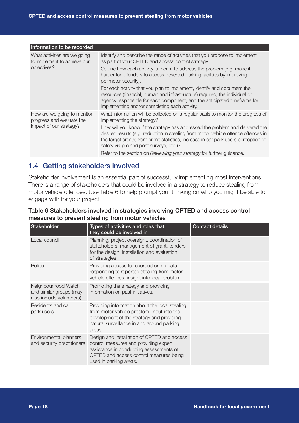| Information to be recorded                                  |                                                                                                                                                                                                                                                                                                      |
|-------------------------------------------------------------|------------------------------------------------------------------------------------------------------------------------------------------------------------------------------------------------------------------------------------------------------------------------------------------------------|
| What activities are we going<br>to implement to achieve our | Identify and describe the range of activities that you propose to implement<br>as part of your CPTED and access control strategy.                                                                                                                                                                    |
| objectives?                                                 | Outline how each activity is meant to address the problem (e.g. make it<br>harder for offenders to access deserted parking facilities by improving<br>perimeter security).                                                                                                                           |
|                                                             | For each activity that you plan to implement, identify and document the<br>resources (financial, human and infrastructure) required, the individual or<br>agency responsible for each component, and the anticipated timeframe for<br>implementing and/or completing each activity.                  |
| How are we going to monitor<br>progress and evaluate the    | What information will be collected on a regular basis to monitor the progress of<br>implementing the strategy?                                                                                                                                                                                       |
| impact of our strategy?                                     | How will you know if the strategy has addressed the problem and delivered the<br>desired results (e.g. reduction in stealing from motor vehicle offence offences in<br>the target area(s) from crime statistics, increase in car park users perception of<br>safety via pre and post surveys, etc.)? |
|                                                             | Refer to the section on Reviewing your strategy for further guidance.                                                                                                                                                                                                                                |

## 1.4 Getting stakeholders involved

Stakeholder involvement is an essential part of successfully implementing most interventions. There is a range of stakeholders that could be involved in a strategy to reduce stealing from motor vehicle offences. Use Table 6 to help prompt your thinking on who you might be able to engage with for your project.

#### Table 6 Stakeholders involved in strategies involving CPTED and access control measures to prevent stealing from motor vehicles

| Stakeholder                                                                | Types of activities and roles that<br>they could be involved in                                                                                                                                      | <b>Contact details</b> |
|----------------------------------------------------------------------------|------------------------------------------------------------------------------------------------------------------------------------------------------------------------------------------------------|------------------------|
| Local council                                                              | Planning, project oversight, coordination of<br>stakeholders, management of grant, tenders<br>for the design, installation and evaluation<br>of strategies                                           |                        |
| Police                                                                     | Providing access to recorded crime data,<br>responding to reported stealing from motor<br>vehicle offences, insight into local problem.                                                              |                        |
| Neighbourhood Watch<br>and similar groups (may<br>also include volunteers) | Promoting the strategy and providing<br>information on past initiatives.                                                                                                                             |                        |
| Residents and car<br>park users                                            | Providing information about the local stealing<br>from motor vehicle problem; input into the<br>development of the strategy and providing<br>natural surveillance in and around parking<br>areas.    |                        |
| Environmental planners<br>and security practitioners                       | Design and installation of CPTED and access<br>control measures and providing expert<br>assistance in conducting assessments of<br>CPTED and access control measures being<br>used in parking areas. |                        |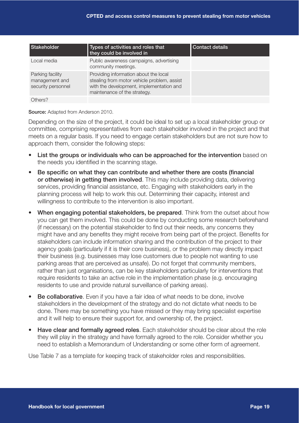| Stakeholder                                              | Types of activities and roles that<br>they could be involved in                                                                                                  | <b>Contact details</b> |
|----------------------------------------------------------|------------------------------------------------------------------------------------------------------------------------------------------------------------------|------------------------|
| Local media                                              | Public awareness campaigns, advertising<br>community meetings.                                                                                                   |                        |
| Parking facility<br>management and<br>security personnel | Providing information about the local<br>stealing from motor vehicle problem, assist<br>with the development, implementation and<br>maintenance of the strategy. |                        |
| Others?                                                  |                                                                                                                                                                  |                        |

Source: Adapted from Anderson 2010.

Depending on the size of the project, it could be ideal to set up a local stakeholder group or committee, comprising representatives from each stakeholder involved in the project and that meets on a regular basis. If you need to engage certain stakeholders but are not sure how to approach them, consider the following steps:

- List the groups or individuals who can be approached for the intervention based on the needs you identified in the scanning stage.
- Be specific on what they can contribute and whether there are costs (financial or otherwise) in getting them involved. This may include providing data, delivering services, providing financial assistance, etc. Engaging with stakeholders early in the planning process will help to work this out. Determining their capacity, interest and willingness to contribute to the intervention is also important.
- When engaging potential stakeholders, be prepared. Think from the outset about how you can get them involved. This could be done by conducting some research beforehand (if necessary) on the potential stakeholder to find out their needs, any concerns they might have and any benefits they might receive from being part of the project. Benefits for stakeholders can include information sharing and the contribution of the project to their agency goals (particularly if it is their core business), or the problem may directly impact their business (e.g. businesses may lose customers due to people not wanting to use parking areas that are perceived as unsafe). Do not forget that community members, rather than just organisations, can be key stakeholders particularly for interventions that require residents to take an active role in the implementation phase (e.g. encouraging residents to use and provide natural surveillance of parking areas).
- Be collaborative. Even if you have a fair idea of what needs to be done, involve stakeholders in the development of the strategy and do not dictate what needs to be done. There may be something you have missed or they may bring specialist expertise and it will help to ensure their support for, and ownership of, the project.
- Have clear and formally agreed roles. Each stakeholder should be clear about the role they will play in the strategy and have formally agreed to the role. Consider whether you need to establish a Memorandum of Understanding or some other form of agreement.

Use Table 7 as a template for keeping track of stakeholder roles and responsibilities.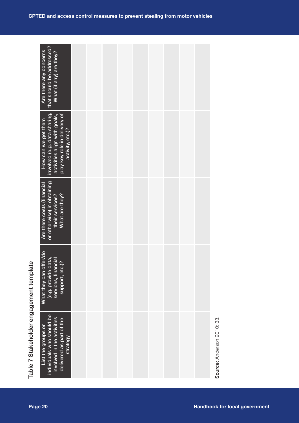|                                         | involved (e.g. data sharing,<br>play key role in delivery of<br>activity, etc.)?<br>activities align with goals,<br>How can we get them |  |  |  |                                      |  |
|-----------------------------------------|-----------------------------------------------------------------------------------------------------------------------------------------|--|--|--|--------------------------------------|--|
|                                         | or otherwise) in obtaining<br>Are there costs (financial<br>their services?<br>What are they?                                           |  |  |  |                                      |  |
|                                         | What they can offer/do<br>(e.g. provide data,<br>services, financial<br>support, etc.)?                                                 |  |  |  |                                      |  |
| Table 7 Stakeholder engagement template | individuals who should be<br>involved in the activities<br>delivered as part of the<br>List the groups or<br>strategy                   |  |  |  | Source: Anderson 2010: 33.           |  |
| Page 20                                 |                                                                                                                                         |  |  |  | <b>Handbook for local government</b> |  |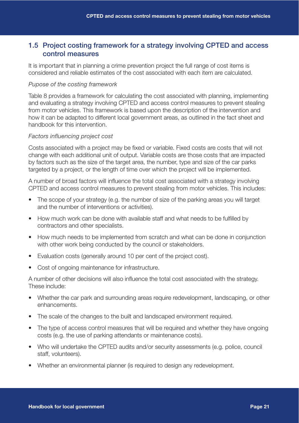#### 1.5 Project costing framework for a strategy involving CPTED and access control measures

It is important that in planning a crime prevention project the full range of cost items is considered and reliable estimates of the cost associated with each item are calculated.

#### *Pupose of the costing framework*

Table 8 provides a framework for calculating the cost associated with planning, implementing and evaluating a strategy involving CPTED and access control measures to prevent stealing from motor vehicles. This framework is based upon the description of the intervention and how it can be adapted to different local government areas, as outlined in the fact sheet and handbook for this intervention.

#### *Factors influencing project cost*

Costs associated with a project may be fixed or variable. Fixed costs are costs that will not change with each additional unit of output. Variable costs are those costs that are impacted by factors such as the size of the target area, the number, type and size of the car parks targeted by a project, or the length of time over which the project will be implemented.

A number of broad factors will influence the total cost associated with a strategy involving CPTED and access control measures to prevent stealing from motor vehicles. This includes:

- The scope of your strategy (e.g. the number of size of the parking areas you will target and the number of interventions or activities).
- How much work can be done with available staff and what needs to be fulfilled by contractors and other specialists.
- How much needs to be implemented from scratch and what can be done in conjunction with other work being conducted by the council or stakeholders.
- Evaluation costs (generally around 10 per cent of the project cost).
- Cost of ongoing maintenance for infrastructure.

A number of other decisions will also influence the total cost associated with the strategy. These include:

- Whether the car park and surrounding areas require redevelopment, landscaping, or other enhancements.
- The scale of the changes to the built and landscaped environment required.
- The type of access control measures that will be required and whether they have ongoing costs (e.g. the use of parking attendants or maintenance costs).
- Who will undertake the CPTED audits and/or security assessments (e.g. police, council staff, volunteers).
- Whether an environmental planner (is required to design any redevelopment.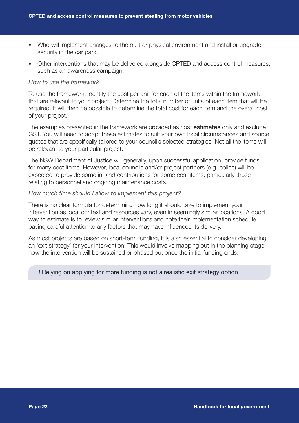- Who will implement changes to the built or physical environment and install or upgrade security in the car park.
- Other interventions that may be delivered alongside CPTED and access control measures, such as an awareness campaign.

#### *How to use the framework*

To use the framework, identify the cost per unit for each of the items within the framework that are relevant to your project. Determine the total number of units of each item that will be required. It will then be possible to determine the total cost for each item and the overall cost of your project.

The examples presented in the framework are provided as cost estimates only and exclude GST. You will need to adapt these estimates to suit your own local circumstances and source quotes that are specifically tailored to your council's selected strategies. Not all the items will be relevant to your particular project.

The NSW Department of Justice will generally, upon successful application, provide funds for many cost items. However, local councils and/or project partners (e.g. police) will be expected to provide some in-kind contributions for some cost items, particularly those relating to personnel and ongoing maintenance costs.

#### *How much time should I allow to implement this project?*

There is no clear formula for determining how long it should take to implement your intervention as local context and resources vary, even in seemingly similar locations. A good way to estimate is to review similar interventions and note their implementation schedule, paying careful attention to any factors that may have influenced its delivery.

As most projects are based on short-term funding, it is also essential to consider developing an 'exit strategy' for your intervention. This would involve mapping out in the planning stage how the intervention will be sustained or phased out once the initial funding ends.

#### ! Relying on applying for more funding is not a realistic exit strategy option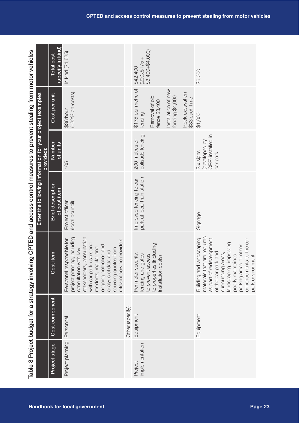| Project stage            | Cost component  | Cost item                                                                                                                                                                                                                                                                       | Enter the following information for your project (examples<br><b>Brief description</b> | Number<br>provided):                                       | Cost per unit                                                    | Total cost                                           |
|--------------------------|-----------------|---------------------------------------------------------------------------------------------------------------------------------------------------------------------------------------------------------------------------------------------------------------------------------|----------------------------------------------------------------------------------------|------------------------------------------------------------|------------------------------------------------------------------|------------------------------------------------------|
|                          |                 |                                                                                                                                                                                                                                                                                 | of cost item                                                                           | of units                                                   |                                                                  | (specify in kind)                                    |
| Project planning         | Personnel       | stakeholders, consultation<br>project planning, including<br>relevant service providers<br>Personnel responsible for<br>users and<br>ongoing collection and<br>residents, regular and<br>consultation with key<br>sourcing quotes from<br>analysis of data and<br>with car park | Project officer<br>(local council)                                                     | 105                                                        | $(+22%$ on-costs)<br>\$36/hour                                   | In kind (\$4,625)                                    |
|                          | Other (specify) |                                                                                                                                                                                                                                                                                 |                                                                                        |                                                            |                                                                  |                                                      |
| mplementation<br>Project | Equipment       | to properties (including<br>Perimeter security,<br>fencing and gates<br>to prevent access<br>installation costs)                                                                                                                                                                | park at local train station<br>Improved fencing to car                                 | palisade fencing<br>200 metres of                          | \$175 per metre of<br>Removal of old<br>fence \$3,400<br>fencing | \$3,400+\$4,000)<br>$(200 \times 5175 +$<br>\$42,400 |
|                          |                 |                                                                                                                                                                                                                                                                                 |                                                                                        |                                                            | Installation of new<br>fencing \$4,000                           |                                                      |
|                          |                 |                                                                                                                                                                                                                                                                                 |                                                                                        |                                                            | Rock excavation<br>\$33 each time                                |                                                      |
|                          | Equipment       | materials that are required<br>landscaping<br>as part of redevelopment<br>its to the car<br>improving<br>parking areas or other<br>of the car park and<br>areas,<br>poorly maintained<br>park environment<br>enhancemen<br>surrounding<br>landscaping,<br>Building and          | Signage                                                                                | CPP) installed in<br>developed by<br>Six signs<br>car park | \$1,000                                                          | \$6,000                                              |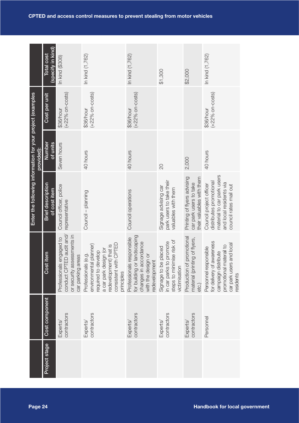|                                                            | (specify in kind)<br><b>Total cost</b>   | In kind (\$308)                                                                                         | In kind (1,762)                                                                                                                                                | In kind (1,762)                                                                                                          | \$1,300                                                                                       | \$2,000                                                                            | In kind (1,762)                                                                                                                                  |
|------------------------------------------------------------|------------------------------------------|---------------------------------------------------------------------------------------------------------|----------------------------------------------------------------------------------------------------------------------------------------------------------------|--------------------------------------------------------------------------------------------------------------------------|-----------------------------------------------------------------------------------------------|------------------------------------------------------------------------------------|--------------------------------------------------------------------------------------------------------------------------------------------------|
|                                                            | Cost per unit                            | $(+22%$ on-costs)<br>\$36/hour                                                                          | $(+22%$ on-costs)<br>\$36/hour                                                                                                                                 | $(+22%$ on-costs)<br>\$36/hour                                                                                           |                                                                                               |                                                                                    | $(+22\%$ on-costs)<br>\$36/hour                                                                                                                  |
| provided):                                                 | Number<br>of units                       | Seven hours                                                                                             | 40 hours                                                                                                                                                       | 40 hours                                                                                                                 | 20                                                                                            | 2,000                                                                              | 40 hours                                                                                                                                         |
| Enter the following information for your project (examples | <b>Brief description</b><br>of cost item | Council officer, police<br>representative                                                               | Council - planning                                                                                                                                             | Council operations                                                                                                       | park users to take their<br>Signage advising car<br>valuables with them                       | Printing of flyers advising<br>their valuables with them<br>car park users to take | material to car park users<br>distributes promotional<br>and local residents via<br>Council project officer<br>council rates mail out            |
|                                                            | it item<br>Cost                          | conduct CPTED audit and/<br>or security assessments in<br>Professionals engaged to<br>car parking areas | consistent with CPTED<br>environmental planner)<br>redevelopment) that is<br>a car park design (or<br>required to develop<br>Professionals (e.g.<br>principles | for building or landscaping<br>Professionals responsible<br>changes in accordance<br>with the design or<br>redevelopment | steps to minimise risk of<br>in car parks to promote<br>Signage to be placed<br>victimisation | Production of promotional<br>material (printing of flyers,<br>etc.)                | awareness<br>car park users and local<br>promotional materail to<br>Personnel responsible<br>campaign distribute<br>for delivery of<br>residents |
|                                                            | Cost component                           | contractors<br>Experts/                                                                                 | contractors<br>Experts/                                                                                                                                        | contractors<br>Experts/                                                                                                  | contractors<br>Experts/                                                                       | contractors<br>Experts/                                                            | Personnel                                                                                                                                        |
|                                                            | Project stage                            |                                                                                                         |                                                                                                                                                                |                                                                                                                          |                                                                                               |                                                                                    |                                                                                                                                                  |
| Page 24                                                    |                                          |                                                                                                         |                                                                                                                                                                |                                                                                                                          |                                                                                               |                                                                                    | <b>Handbook for local government</b>                                                                                                             |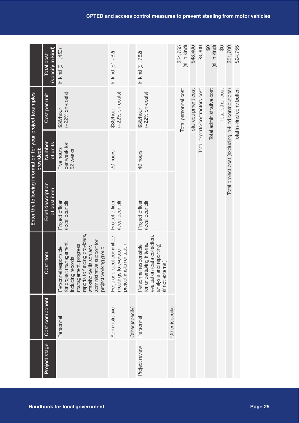|                                                            | (specify in kind)<br><b>Total cost</b>   | In kind (\$11,453)                                                                                                                                                                                               | In kind (\$1,762)                                                             |                 | In kind (\$1,762)                                                                                                                    |                 | \$24,755<br>(all in kind) | \$48,400             | \$3,300                        | $\Theta$<br>(all in kind) | \$               | \$51,700                                             | \$24,755                   |         |
|------------------------------------------------------------|------------------------------------------|------------------------------------------------------------------------------------------------------------------------------------------------------------------------------------------------------------------|-------------------------------------------------------------------------------|-----------------|--------------------------------------------------------------------------------------------------------------------------------------|-----------------|---------------------------|----------------------|--------------------------------|---------------------------|------------------|------------------------------------------------------|----------------------------|---------|
|                                                            | Cost per unit                            | $(+22%$ on-costs)<br>\$36/hour                                                                                                                                                                                   | $(+22%$ on-costs)<br>\$36/hour                                                |                 | $(+22%$ on-costs)<br>\$36/hour                                                                                                       |                 | Total personnel cost      | Total equipment cost | Total experts/contractors cost | Total administrative cost | Total other cost |                                                      | Total in-kind contribution |         |
| provided):                                                 | Number<br>$\frac{of}{S}$ units           | per week for<br>Five hours<br>52 weeks                                                                                                                                                                           | 30 hours                                                                      |                 | 40 hours                                                                                                                             |                 |                           |                      |                                |                           |                  | Total project cost (excluding in-kind contributions) |                            |         |
| Enter the following information for your project (examples | <b>Brief description</b><br>of cost item | Project officer<br>(local council)                                                                                                                                                                               | Project officer<br>(local council)                                            |                 | Project officer<br>(local council)                                                                                                   |                 |                           |                      |                                |                           |                  |                                                      |                            |         |
|                                                            | Cost item                                | reports to funding providers,<br>administrative support for<br>for project management,<br>management, progress<br>stakeholder liaison and<br>Personnel responsible<br>project working group<br>including records | Regular project committee<br>project implementation<br>oversee<br>meetings to |                 | evaluation (data collection,<br>for undertaking internal<br>reporting)<br>Personnel responsible<br>(if not external)<br>analysis and |                 |                           |                      |                                |                           |                  |                                                      |                            |         |
|                                                            | Cost component                           | Personnel                                                                                                                                                                                                        | Administrative                                                                | Other (specify) | Personnel                                                                                                                            | Other (specify) |                           |                      |                                |                           |                  |                                                      |                            |         |
|                                                            | Project stage                            |                                                                                                                                                                                                                  |                                                                               |                 | Project review                                                                                                                       |                 |                           |                      |                                |                           |                  |                                                      |                            |         |
|                                                            |                                          | <b>Handbook for local government</b>                                                                                                                                                                             |                                                                               |                 |                                                                                                                                      |                 |                           |                      |                                |                           |                  |                                                      |                            | Page 25 |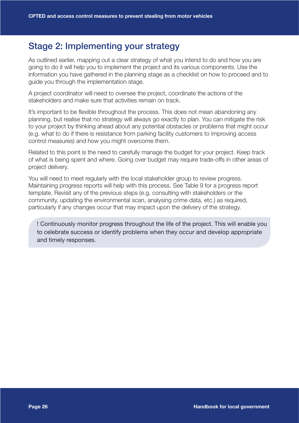## Stage 2: Implementing your strategy

As outlined earlier, mapping out a clear strategy of what you intend to do and how you are going to do it will help you to implement the project and its various components. Use the information you have gathered in the planning stage as a checklist on how to proceed and to guide you through the implementation stage.

A project coordinator will need to oversee the project, coordinate the actions of the stakeholders and make sure that activities remain on track.

It's important to be flexible throughout the process. This does not mean abandoning any planning, but realise that no strategy will always go exactly to plan. You can mitigate the risk to your project by thinking ahead about any potential obstacles or problems that might occur (e.g. what to do if there is resistance from parking facility customers to improving access control measures) and how you might overcome them.

Related to this point is the need to carefully manage the budget for your project. Keep track of what is being spent and where. Going over budget may require trade-offs in other areas of project delivery.

You will need to meet regularly with the local stakeholder group to review progress. Maintaining progress reports will help with this process. See Table 9 for a progress report template. Revisit any of the previous steps (e.g. consulting with stakeholders or the community, updating the environmental scan, analysing crime data, etc.) as required, particularly if any changes occur that may impact upon the delivery of the strategy.

! Continuously monitor progress throughout the life of the project. This will enable you to celebrate success or identify problems when they occur and develop appropriate and timely responses.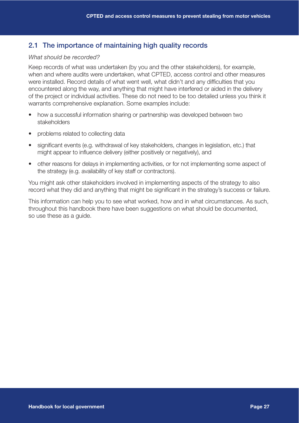#### 2.1 The importance of maintaining high quality records

#### *What should be recorded?*

Keep records of what was undertaken (by you and the other stakeholders), for example, when and where audits were undertaken, what CPTED, access control and other measures were installed. Record details of what went well, what didn't and any difficulties that you encountered along the way, and anything that might have interfered or aided in the delivery of the project or individual activities. These do not need to be too detailed unless you think it warrants comprehensive explanation. Some examples include:

- how a successful information sharing or partnership was developed between two stakeholders
- problems related to collecting data
- significant events (e.g. withdrawal of key stakeholders, changes in legislation, etc.) that might appear to influence delivery (either positively or negatively), and
- other reasons for delays in implementing activities, or for not implementing some aspect of the strategy (e.g. availability of key staff or contractors).

You might ask other stakeholders involved in implementing aspects of the strategy to also record what they did and anything that might be significant in the strategy's success or failure.

This information can help you to see what worked, how and in what circumstances. As such, throughout this handbook there have been suggestions on what should be documented, so use these as a guide.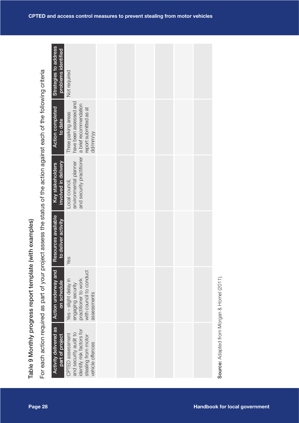|                                                                                                                                                                                     | Strategies to address<br>problems identified |                                                                                                                   |  |  |  |                                             |  |
|-------------------------------------------------------------------------------------------------------------------------------------------------------------------------------------|----------------------------------------------|-------------------------------------------------------------------------------------------------------------------|--|--|--|---------------------------------------------|--|
|                                                                                                                                                                                     |                                              | Not required                                                                                                      |  |  |  |                                             |  |
|                                                                                                                                                                                     | <b>Action completed</b><br>to date           | have been assessed and<br>a brief recommendation<br>report submitted as at<br>Three parking areas<br>dd/mm/yy     |  |  |  |                                             |  |
|                                                                                                                                                                                     | involved in delivery<br>Key stakeholders     | and security practitioner<br>environmental planner<br>Local council,                                              |  |  |  |                                             |  |
|                                                                                                                                                                                     | Resources available<br>to deliver activity   | Yes                                                                                                               |  |  |  |                                             |  |
|                                                                                                                                                                                     | <b>Action underway and</b><br>on schedule    | with council to conduct<br>practitioner to work<br>Yes - slight delay in<br>engaging security<br>assessments      |  |  |  |                                             |  |
| For each action required as part of your project assess the status of the action against each of the following criteria<br>Table 9 Monthly progress report template (with examples) | Activity delivered as<br>part of project     | identify risk factors for<br>and security audit to<br>CPTED assessment<br>stealing from motor<br>vehicle offences |  |  |  | Source: Adapted from Morgan & Homel (2011). |  |
| Page 28                                                                                                                                                                             |                                              |                                                                                                                   |  |  |  | <b>Handbook for local government</b>        |  |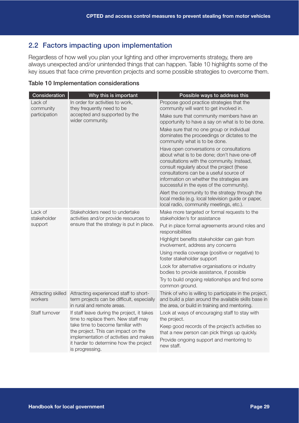## 2.2 Factors impacting upon implementation

Regardless of how well you plan your lighting and other improvements strategy, there are always unexpected and/or unintended things that can happen. Table 10 highlights some of the key issues that face crime prevention projects and some possible strategies to overcome them.

| Consideration                 | Why this is important                                                                                                                                                           | Possible ways to address this                                                                                                                                                                                                                                                                                             |
|-------------------------------|---------------------------------------------------------------------------------------------------------------------------------------------------------------------------------|---------------------------------------------------------------------------------------------------------------------------------------------------------------------------------------------------------------------------------------------------------------------------------------------------------------------------|
| Lack of<br>community          | In order for activities to work,<br>they frequently need to be                                                                                                                  | Propose good practice strategies that the<br>community will want to get involved in.                                                                                                                                                                                                                                      |
| participation                 | accepted and supported by the<br>wider community.                                                                                                                               | Make sure that community members have an<br>opportunity to have a say on what is to be done.                                                                                                                                                                                                                              |
|                               |                                                                                                                                                                                 | Make sure that no one group or individual<br>dominates the proceedings or dictates to the<br>community what is to be done.                                                                                                                                                                                                |
|                               |                                                                                                                                                                                 | Have open conversations or consultations<br>about what is to be done; don't have one-off<br>consultations with the community. Instead,<br>consult regularly about the project (these<br>consultations can be a useful source of<br>information on whether the strategies are<br>successful in the eyes of the community). |
|                               |                                                                                                                                                                                 | Alert the community to the strategy through the<br>local media (e.g. local television guide or paper,<br>local radio, community meetings, etc.).                                                                                                                                                                          |
| Lack of<br>stakeholder        | Stakeholders need to undertake<br>activities and/or provide resources to                                                                                                        | Make more targeted or formal requests to the<br>stakeholder/s for assistance                                                                                                                                                                                                                                              |
| support                       | ensure that the strategy is put in place.                                                                                                                                       | Put in place formal agreements around roles and<br>responsibilities                                                                                                                                                                                                                                                       |
|                               |                                                                                                                                                                                 | Highlight benefits stakeholder can gain from<br>involvement, address any concerns                                                                                                                                                                                                                                         |
|                               |                                                                                                                                                                                 | Using media coverage (positive or negative) to<br>foster stakeholder support                                                                                                                                                                                                                                              |
|                               |                                                                                                                                                                                 | Look for alternative organisations or industry<br>bodies to provide assistance, if possible                                                                                                                                                                                                                               |
|                               |                                                                                                                                                                                 | Try to build ongoing relationships and find some<br>common ground.                                                                                                                                                                                                                                                        |
| Attracting skilled<br>workers | Attracting experienced staff to short-<br>term projects can be difficult, especially<br>in rural and remote areas.                                                              | Think of who is willing to participate in the project,<br>and build a plan around the available skills base in<br>the area, or build in training and mentoring.                                                                                                                                                           |
| Staff turnover                | If staff leave during the project, it takes<br>time to replace them. New staff may                                                                                              | Look at ways of encouraging staff to stay with<br>the project.                                                                                                                                                                                                                                                            |
|                               | take time to become familiar with<br>the project. This can impact on the<br>implementation of activities and makes<br>it harder to determine how the project<br>is progressing. | Keep good records of the project's activities so<br>that a new person can pick things up quickly.<br>Provide ongoing support and mentoring to<br>new staff.                                                                                                                                                               |
|                               |                                                                                                                                                                                 |                                                                                                                                                                                                                                                                                                                           |

#### Table 10 Implementation considerations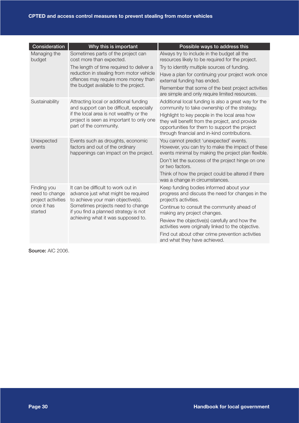| Consideration                                                                 | Why this is important                                                                                                                                                                                                                  | Possible ways to address this                                                                                                                                                                                                                                                                                                                                                                 |
|-------------------------------------------------------------------------------|----------------------------------------------------------------------------------------------------------------------------------------------------------------------------------------------------------------------------------------|-----------------------------------------------------------------------------------------------------------------------------------------------------------------------------------------------------------------------------------------------------------------------------------------------------------------------------------------------------------------------------------------------|
| Managing the<br>budget                                                        | Sometimes parts of the project can<br>cost more than expected.<br>The length of time required to deliver a<br>reduction in stealing from motor vehicle<br>offences may require more money than<br>the budget available to the project. | Always try to include in the budget all the<br>resources likely to be required for the project.<br>Try to identify multiple sources of funding.<br>Have a plan for continuing your project work once<br>external funding has ended.<br>Remember that some of the best project activities<br>are simple and only require limited resources.                                                    |
| Sustainability                                                                | Attracting local or additional funding<br>and support can be difficult, especially<br>if the local area is not wealthy or the<br>project is seen as important to only one<br>part of the community.                                    | Additional local funding is also a great way for the<br>community to take ownership of the strategy.<br>Highlight to key people in the local area how<br>they will benefit from the project, and provide<br>opportunities for them to support the project<br>through financial and in-kind contributions.                                                                                     |
| Unexpected<br>events                                                          | Events such as droughts, economic<br>factors and out of the ordinary<br>happenings can impact on the project.                                                                                                                          | You cannot predict 'unexpected' events.<br>However, you can try to make the impact of these<br>events minimal by making the project plan flexible.<br>Don't let the success of the project hinge on one<br>or two factors.<br>Think of how the project could be altered if there<br>was a change in circumstances.                                                                            |
| Finding you<br>need to change<br>project activities<br>once it has<br>started | It can be difficult to work out in<br>advance just what might be required<br>to achieve your main objective(s).<br>Sometimes projects need to change<br>if you find a planned strategy is not<br>achieving what it was supposed to.    | Keep funding bodies informed about your<br>progress and discuss the need for changes in the<br>project's activities.<br>Continue to consult the community ahead of<br>making any project changes.<br>Review the objective(s) carefully and how the<br>activities were originally linked to the objective.<br>Find out about other crime prevention activities<br>and what they have achieved. |

Source: AIC 2006.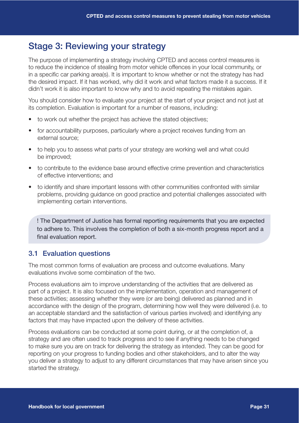## Stage 3: Reviewing your strategy

The purpose of implementing a strategy involving CPTED and access control measures is to reduce the incidence of stealing from motor vehicle offences in your local community, or in a specific car parking area(s). It is important to know whether or not the strategy has had the desired impact. If it has worked, why did it work and what factors made it a success. If it didn't work it is also important to know why and to avoid repeating the mistakes again.

You should consider how to evaluate your project at the start of your project and not just at its completion. Evaluation is important for a number of reasons, including:

- to work out whether the project has achieve the stated objectives;
- for accountability purposes, particularly where a project receives funding from an external source;
- to help you to assess what parts of your strategy are working well and what could be improved;
- to contribute to the evidence base around effective crime prevention and characteristics of effective interventions; and
- to identify and share important lessons with other communities confronted with similar problems, providing guidance on good practice and potential challenges associated with implementing certain interventions.

! The Department of Justice has formal reporting requirements that you are expected to adhere to. This involves the completion of both a six-month progress report and a final evaluation report.

## 3.1 Evaluation questions

The most common forms of evaluation are process and outcome evaluations. Many evaluations involve some combination of the two.

Process evaluations aim to improve understanding of the activities that are delivered as part of a project. It is also focused on the implementation, operation and management of these activities; assessing whether they were (or are being) delivered as planned and in accordance with the design of the program, determining how well they were delivered (i.e. to an acceptable standard and the satisfaction of various parties involved) and identifying any factors that may have impacted upon the delivery of these activities.

Process evaluations can be conducted at some point during, or at the completion of, a strategy and are often used to track progress and to see if anything needs to be changed to make sure you are on track for delivering the strategy as intended. They can be good for reporting on your progress to funding bodies and other stakeholders, and to alter the way you deliver a strategy to adjust to any different circumstances that may have arisen since you started the strategy.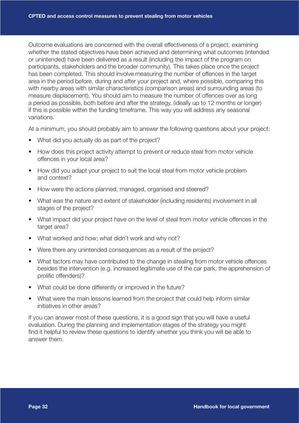Outcome evaluations are concerned with the overall effectiveness of a project, examining whether the stated objectives have been achieved and determining what outcomes (intended or unintended) have been delivered as a result (including the impact of the program on participants, stakeholders and the broader community). This takes place once the project has been completed. This should involve measuring the number of offences in the target area in the period before, during and after your project and, where possible, comparing this with nearby areas with similar characteristics (comparison areas) and surrounding areas (to measure displacement). You should aim to measure the number of offences over as long a period as possible, both before and after the strategy, (ideally up to 12 months or longer) if this is possible within the funding timeframe. This way you will address any seasonal variations.

At a minimum, you should probably aim to answer the following questions about your project:

- What did you actually do as part of the project?
- How does this project activity attempt to prevent or reduce steal from motor vehicle offences in your local area?
- How did you adapt your project to suit the local steal from motor vehicle problem and context?
- How were the actions planned, managed, organised and steered?
- What was the nature and extent of stakeholder (including residents) involvement in all stages of the project?
- What impact did your project have on the level of steal from motor vehicle offences in the target area?
- What worked and how; what didn't work and why not?
- Were there any unintended consequences as a result of the project?
- What factors may have contributed to the change in stealing from motor vehicle offences besides the intervention (e.g. increased legitimate use of the car park, the apprehension of prolific offenders)?
- What could be done differently or improved in the future?
- What were the main lessons learned from the project that could help inform similar initiatives in other areas?

If you can answer most of these questions, it is a good sign that you will have a useful evaluation. During the planning and implementation stages of the strategy you might find it helpful to review these questions to identify whether you think you will be able to answer them.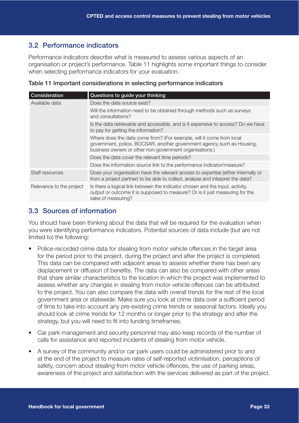## 3.2 Performance indicators

Performance indicators describe what is measured to assess various aspects of an organisation or project's performance. Table 11 highlights some important things to consider when selecting performance indicators for your evaluation.

|  | Table 11 Important considerations in selecting performance indicators |  |  |
|--|-----------------------------------------------------------------------|--|--|
|  |                                                                       |  |  |
|  |                                                                       |  |  |

| Consideration            | Questions to guide your thinking                                                                                                                                                                          |
|--------------------------|-----------------------------------------------------------------------------------------------------------------------------------------------------------------------------------------------------------|
| Available data           | Does the data source exist?                                                                                                                                                                               |
|                          | Will the information need to be obtained through methods such as surveys<br>and consultations?                                                                                                            |
|                          | Is the data retrievable and accessible, and is it expensive to access? Do we have<br>to pay for getting the information?                                                                                  |
|                          | Where does the data come from? (For example, will it come from local<br>government, police, BOCSAR, another government agency such as Housing,<br>business owners or other non-government organisations.) |
|                          | Does the data cover the relevant time periods?                                                                                                                                                            |
|                          | Does the information source link to the performance indicator/measure?                                                                                                                                    |
| Staff resources          | Does your organisation have the relevant access to expertise (either internally or<br>from a project partner) to be able to collect, analyse and interpret the data?                                      |
| Relevance to the project | Is there a logical link between the indicator chosen and the input, activity,<br>output or outcome it is supposed to measure? Or is it just measuring for the<br>sake of measuring?                       |

#### 3.3 Sources of information

You should have been thinking about the data that will be required for the evaluation when you were identifying performance indicators. Potential sources of data include (but are not limited to) the following:

- Police-recorded crime data for stealing from motor vehicle offences in the target area for the period prior to the project, during the project and after the project is completed. This data can be compared with adjacent areas to assess whether there has been any displacement or diffusion of benefits. The data can also be compared with other areas that share similar characteristics to the location in which the project was implemented to assess whether any changes in stealing from motor vehicle offences can be attributed to the project. You can also compare the data with overall trends for the rest of the local government area or statewide. Make sure you look at crime data over a sufficient period of time to take into account any pre-existing crime trends or seasonal factors. Ideally you should look at crime trends for 12 months or longer prior to the strategy and after the strategy, but you will need to fit into funding timeframes.
- Car park management and security personnel may also keep records of the number of calls for assistance and reported incidents of stealing from motor vehicle.
- A survey of the community and/or car park users could be administered prior to and at the end of the project to measure rates of self-reported victimisation, perceptions of safety, concern about stealing from motor vehicle offences, the use of parking areas, awareness of the project and satisfaction with the services delivered as part of the project.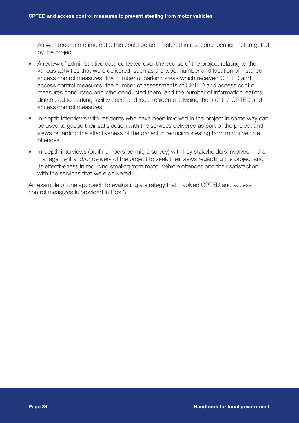As with recorded crime data, this could be administered in a second location not targeted by the project.

- A review of administrative data collected over the course of the project relating to the various activities that were delivered, such as the type, number and location of installed access control measures, the number of parking areas which received CPTED and access control measures, the number of assessments of CPTED and access control measures conducted and who conducted them, and the number of information leaflets distributed to parking facility users and local residents advising them of the CPTED and access control measures.
- In-depth interviews with residents who have been involved in the project in some way can be used to gauge their satisfaction with the services delivered as part of the project and views regarding the effectiveness of the project in reducing stealing from motor vehicle offences.
- In-depth interviews (or, if numbers permit, a survey) with key stakeholders involved in the management and/or delivery of the project to seek their views regarding the project and its effectiveness in reducing stealing from motor vehicle offences and their satisfaction with the services that were delivered.

An example of one approach to evaluating a strategy that involved CPTED and access control measures is provided in Box 3.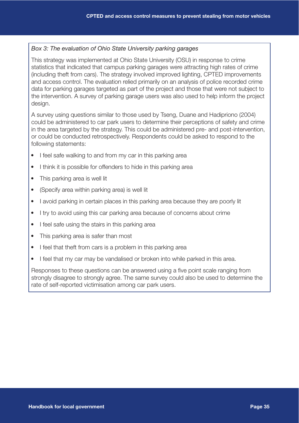#### *Box 3: The evaluation of Ohio State University parking garages*

This strategy was implemented at Ohio State University (OSU) in response to crime statistics that indicated that campus parking garages were attracting high rates of crime (including theft from cars). The strategy involved improved lighting, CPTED improvements and access control. The evaluation relied primarily on an analysis of police recorded crime data for parking garages targeted as part of the project and those that were not subject to the intervention. A survey of parking garage users was also used to help inform the project design.

A survey using questions similar to those used by Tseng, Duane and Hadipriono (2004) could be administered to car park users to determine their perceptions of safety and crime in the area targeted by the strategy. This could be administered pre- and post-intervention, or could be conducted retrospectively. Respondents could be asked to respond to the following statements:

- I feel safe walking to and from my car in this parking area
- I think it is possible for offenders to hide in this parking area
- This parking area is well lit
- (Specify area within parking area) is well lit
- I avoid parking in certain places in this parking area because they are poorly lit
- I try to avoid using this car parking area because of concerns about crime
- I feel safe using the stairs in this parking area
- This parking area is safer than most
- I feel that theft from cars is a problem in this parking area
- I feel that my car may be vandalised or broken into while parked in this area.

Responses to these questions can be answered using a five point scale ranging from strongly disagree to strongly agree. The same survey could also be used to determine the rate of self-reported victimisation among car park users.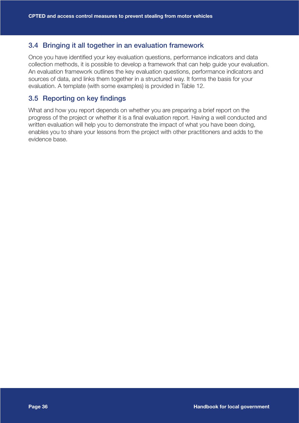#### 3.4 Bringing it all together in an evaluation framework

Once you have identified your key evaluation questions, performance indicators and data collection methods, it is possible to develop a framework that can help guide your evaluation. An evaluation framework outlines the key evaluation questions, performance indicators and sources of data, and links them together in a structured way. It forms the basis for your evaluation. A template (with some examples) is provided in Table 12.

#### 3.5 Reporting on key findings

What and how you report depends on whether you are preparing a brief report on the progress of the project or whether it is a final evaluation report. Having a well conducted and written evaluation will help you to demonstrate the impact of what you have been doing, enables you to share your lessons from the project with other practitioners and adds to the evidence base.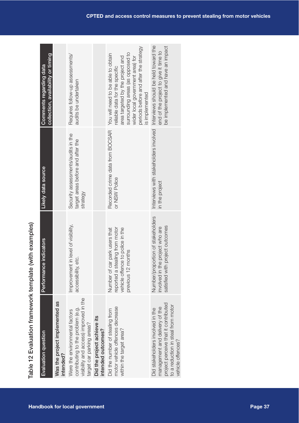| Evaluation question                                                                                                                              | Performance indicators                                                                                                       | Likely data source                                                                  | collection, availability or timing<br>Comments regarding data                                                                                                                                                                              |
|--------------------------------------------------------------------------------------------------------------------------------------------------|------------------------------------------------------------------------------------------------------------------------------|-------------------------------------------------------------------------------------|--------------------------------------------------------------------------------------------------------------------------------------------------------------------------------------------------------------------------------------------|
| Was the project implemented as<br>intended?                                                                                                      |                                                                                                                              |                                                                                     |                                                                                                                                                                                                                                            |
| visibility and access) improved in the<br>contributing to the problem (e.g.<br>Were the environmental factors<br>target car parking areas?       | Improvement in level of visibility,<br>etc.<br>accessibility,                                                                | Security assessments/audits in the<br>target areas before and after the<br>strategy | Requires follow-up assessments/<br>audits be undertaken                                                                                                                                                                                    |
| Did the project achieve its<br>intended outcomes?                                                                                                |                                                                                                                              |                                                                                     |                                                                                                                                                                                                                                            |
| motor vehicle offences decrease<br>Did the number of stealing from<br>within the target area?                                                    | reported a stealing from motor<br>vehicle offence to police in the<br>Number of car park users that<br>months<br>previous 12 | Recorded crime data from BOCSAR<br>or NSW Police                                    | periods before and after the strategy<br>surrounding areas (as opposed to<br>You will need to be able to obtain<br>area targeted by the project and<br>wider local government area) for<br>reliable data for the specific<br>s implemented |
| project perceive that it contributed<br>to a reduction in steal from motor<br>management and delivery of the<br>Did stakeholders involved in the | Number/proportion of stakeholders<br>satisfied with project outcomes<br>involved in the project who are                      | Interviews with stakeholders involved<br>in the project                             | Interviews should be held toward the<br>be implemented and have an impact<br>end of the project to give it time to                                                                                                                         |